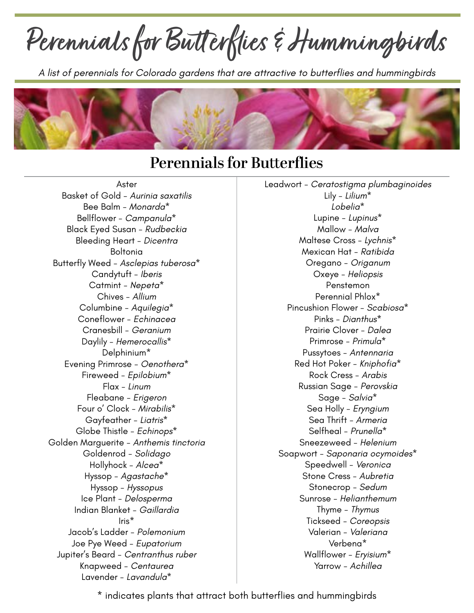**Perennials for Butt erflies & Hummingbirds**

*A list of perennials for Colorado gardens that are attractive to butterflies and hummingbirds*



## **Perennials for Butterflies**

Aster Basket of Gold - *Aurinia saxatilis* Bee Balm - *Monarda\** Bellflower - *Campanula\** Black Eyed Susan - *Rudbeckia* Bleeding Heart - *Dicentra* Boltonia Butterfly Weed - *Asclepias tuberosa\** Candytuft - *Iberis* Catmint - *Nepeta\** Chives - *Allium* Columbine - *Aquilegia\** Coneflower - *Echinacea* Cranesbill - *Geranium* Daylily - *Hemerocallis\** Delphinium\* Evening Primrose - *Oenothera\** Fireweed - *Epilobium\** Flax - *Linum* Fleabane - *Erigeron* Four o' Clock - *Mirabilis\** Gayfeather - *Liatris\** Globe Thistle - *Echinops\** Golden Marguerite - *Anthemis tinctoria* Goldenrod - *Solidago* Hollyhock - *Alcea\** Hyssop - *Agastache\** Hyssop - *Hyssopus* Ice Plant - *Delosperma* Indian Blanket - *Gaillardia* Iris\* Jacob's Ladder - *Polemonium* Joe Pye Weed - *Eupatorium* Jupiter's Beard - *Centranthus ruber* Knapweed - *Centaurea* Lavender - *Lavandula\**

Leadwort - *Ceratostigma plumbaginoides* Lily - *Lilium\* Lobelia\** Lupine - *Lupinus\** Mallow - *Malva* Maltese Cross - *Lychnis\** Mexican Hat - *Ratibida* Oregano - *Origanum* Oxeye - *Heliopsis* Penstemon Perennial Phlox\* Pincushion Flower - *Scabiosa\** Pinks - *Dianthus\** Prairie Clover - *Dalea* Primrose - *Primula\** Pussytoes - *Antennaria* Red Hot Poker - *Kniphofia\** Rock Cress - *Arabis* Russian Sage - *Perovskia* Sage - *Salvia\** Sea Holly - *Eryngium* Sea Thrift - *Armeria* Selfheal - *Prunella\** Sneezeweed - *Helenium* Soapwort - *Saponaria ocymoides\** Speedwell - *Veronica* Stone Cress - *Aubretia* Stonecrop - *Sedum* Sunrose - *Helianthemum* Thyme - *Thymus* Tickseed - *Coreopsis* Valerian - *Valeriana* Verbena\* Wallflower - *Eryisium\** Yarrow - *Achillea*

\* indicates plants that attract both butterflies and hummingbirds